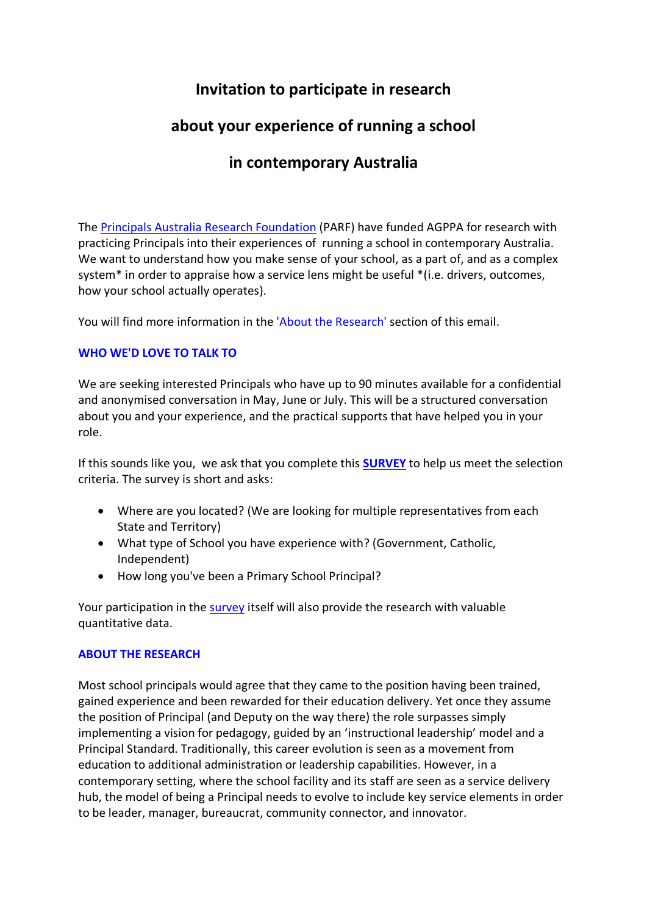# **Invitation to participate in research**

# **about your experience of running a school**

### **in contemporary Australia**

The Principals Australia [Research Foundation](https://aus01.safelinks.protection.outlook.com/?url=https%3A%2F%2Fwww.parf.org.au%2Fresearch-reports%2Fbuilding-leaders-capacity-to-manage-the-paradox-of-the-principalship-y5sj2&data=05%7C01%7C%7C2eb90d09dc43479b731c08da282922a8%7Cf1d4a8326c2144759bf48cc7e9044a29%7C0%7C0%7C637866454396336217%7CUnknown%7CTWFpbGZsb3d8eyJWIjoiMC4wLjAwMDAiLCJQIjoiV2luMzIiLCJBTiI6Ik1haWwiLCJXVCI6Mn0%3D%7C3000%7C%7C%7C&sdata=mGFqOOeoAL3ghaOwLQcKCnO9vcEydJuH85KM73qBhOw%3D&reserved=0) (PARF) have funded AGPPA for research with practicing Principals into their experiences of running a school in contemporary Australia. We want to understand how you make sense of your school, as a part of, and as a complex system\* in order to appraise how a service lens might be useful \*(i.e. drivers, outcomes, how your school actually operates).

You will find more information in the 'About the Research' section of this email.

### **WHO WE'D LOVE TO TALK TO**

We are seeking interested Principals who have up to 90 minutes available for a confidential and anonymised conversation in May, June or July. This will be a structured conversation about you and your experience, and the practical supports that have helped you in your role.

If this sounds like you, we ask that you complete this **[SURVEY](https://aus01.safelinks.protection.outlook.com/?url=https%3A%2F%2Fforms.gle%2FkcbDBpuHUfMZX6fz7&data=05%7C01%7C%7C2eb90d09dc43479b731c08da282922a8%7Cf1d4a8326c2144759bf48cc7e9044a29%7C0%7C0%7C637866454396336217%7CUnknown%7CTWFpbGZsb3d8eyJWIjoiMC4wLjAwMDAiLCJQIjoiV2luMzIiLCJBTiI6Ik1haWwiLCJXVCI6Mn0%3D%7C3000%7C%7C%7C&sdata=L2huePG7QTo4SwS1HS9U5EyiGZvIeXV6I6pVC2bxulk%3D&reserved=0)** to help us meet the selection criteria. The survey is short and asks:

- Where are you located? (We are looking for multiple representatives from each State and Territory)
- What type of School you have experience with? (Government, Catholic, Independent)
- How long you've been a Primary School Principal?

Your participation in the [survey](https://aus01.safelinks.protection.outlook.com/?url=https%3A%2F%2Fforms.gle%2FkcbDBpuHUfMZX6fz7&data=05%7C01%7C%7C2eb90d09dc43479b731c08da282922a8%7Cf1d4a8326c2144759bf48cc7e9044a29%7C0%7C0%7C637866454396336217%7CUnknown%7CTWFpbGZsb3d8eyJWIjoiMC4wLjAwMDAiLCJQIjoiV2luMzIiLCJBTiI6Ik1haWwiLCJXVCI6Mn0%3D%7C3000%7C%7C%7C&sdata=L2huePG7QTo4SwS1HS9U5EyiGZvIeXV6I6pVC2bxulk%3D&reserved=0) itself will also provide the research with valuable quantitative data.

#### **ABOUT THE RESEARCH**

Most school principals would agree that they came to the position having been trained, gained experience and been rewarded for their education delivery. Yet once they assume the position of Principal (and Deputy on the way there) the role surpasses simply implementing a vision for pedagogy, guided by an 'instructional leadership' model and a Principal Standard. Traditionally, this career evolution is seen as a movement from education to additional administration or leadership capabilities. However, in a contemporary setting, where the school facility and its staff are seen as a service delivery hub, the model of being a Principal needs to evolve to include key service elements in order to be leader, manager, bureaucrat, community connector, and innovator.